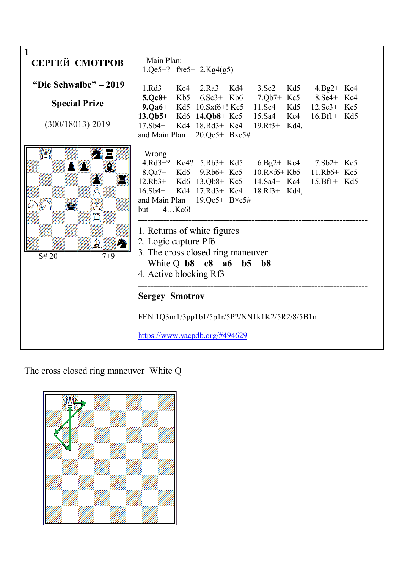| 1<br>СЕРГЕЙ СМОТРОВ                           | Main Plan:<br>$1.Qe5+?$ fxe5+ $2.Kg4(g5)$                                                                                                                                                                                                                                                                                                                                                                             |  |  |  |  |  |  |
|-----------------------------------------------|-----------------------------------------------------------------------------------------------------------------------------------------------------------------------------------------------------------------------------------------------------------------------------------------------------------------------------------------------------------------------------------------------------------------------|--|--|--|--|--|--|
| "Die Schwalbe" – 2019<br><b>Special Prize</b> | $1.Rd3+$<br>Kc4 2.Ra3+ Kd4 3.Sc2+ Kd5 4.Bg2+ Kc4<br>5.Qc8+ Kb5 6.Sc3+ Kb6 7.Qb7+ Kc5 8.Se4+ Kc4<br>9.Qa6+ Kd5 10.Sxf6+! Kc5 11.Se4+ Kd5 12.Sc3+ Kc5                                                                                                                                                                                                                                                                   |  |  |  |  |  |  |
| (300/18013) 2019                              | 13.Qb5+ Kd6 14.Qb8+ Kc5 15.Sa4+ Kc4 16.Bf1+ Kd5<br>17.Sb4+ Kd4 18.Rd3+ Kc4 19.Rf3+ Kd4,<br>and Main Plan 20.Qe5+ Bxe5#                                                                                                                                                                                                                                                                                                |  |  |  |  |  |  |
| $\mathbb{R}^3$<br>S# 20<br>$7 + 9$            | Wrong<br>4.Rd3+? Kc4? 5.Rb3+ Kd5 6.Bg2+ Kc4 7.Sb2+ Kc5<br>8.Qa7+ Kd6 9.Rb6+ Kc5 10.R×f6+ Kb5 11.Rb6+ Kc5<br>12.Rb3+ Kd6 13.Qb8+ Kc5 14.Sa4+ Kc4 15.Bf1+ Kd5<br>16.Sb4+ Kd4 17.Rd3+ Kc4 18.Rf3+ Kd4,<br>and Main Plan $19.Qe5+ B\times e5\#$<br>4Kc6!<br>but<br>1. Returns of white figures<br>2. Logic capture Pf6<br>3. The cross closed ring maneuver<br>White Q $b8 - c8 - a6 - b5 - b8$<br>4. Active blocking Rf3 |  |  |  |  |  |  |
|                                               | <b>Sergey Smotrov</b>                                                                                                                                                                                                                                                                                                                                                                                                 |  |  |  |  |  |  |
|                                               | FEN 1Q3nr1/3pp1b1/5p1r/5P2/NN1k1K2/5R2/8/5B1n<br>https://www.yacpdb.org/#494629                                                                                                                                                                                                                                                                                                                                       |  |  |  |  |  |  |

The cross closed ring maneuver White Q

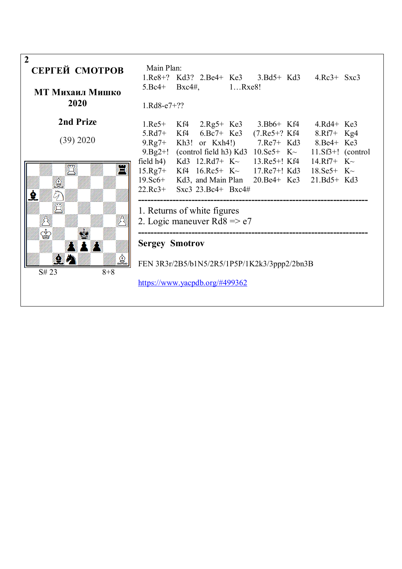| $\overline{2}$<br>СЕРГЕЙ СМОТРОВ | Main Plan:                                   |                                                                                                                                                                                                                                                                                      |  |  |  |  |  |
|----------------------------------|----------------------------------------------|--------------------------------------------------------------------------------------------------------------------------------------------------------------------------------------------------------------------------------------------------------------------------------------|--|--|--|--|--|
|                                  |                                              | 1.Re8+? Kd3? 2.Be4+ Ke3 3.Bd5+ Kd3 4.Rc3+ Sxc3                                                                                                                                                                                                                                       |  |  |  |  |  |
| МТ Михаил Мишко                  |                                              | $5.Bc4+ Bxc4\#$ , $1Rxe8!$                                                                                                                                                                                                                                                           |  |  |  |  |  |
| 2020                             | $1.Rd8-e7+??$                                |                                                                                                                                                                                                                                                                                      |  |  |  |  |  |
| 2nd Prize                        |                                              | 1.Re5+ Kf4 2.Rg5+ Ke3 3.Bb6+ Kf4 4.Rd4+ Ke3                                                                                                                                                                                                                                          |  |  |  |  |  |
| (39) 2020                        |                                              | 5.Rd7+ Kf4 6.Bc7+ Ke3 (7.Re5+? Kf4 8.Rf7+ Kg4<br>9.Rg7+ Kh3! or Kxh4!) 7.Re7+ Kd3 8.Be4+ Ke3                                                                                                                                                                                         |  |  |  |  |  |
|                                  |                                              | 9.Bg2+! (control field h3) Kd3 $10.8e5+ K2$ 11.Sf3+! (control                                                                                                                                                                                                                        |  |  |  |  |  |
| E                                |                                              | field h4) Kd3 $12.Rd7+ K2$ 13.Re5+! Kf4 14.Rf7+ K $\sim$<br>$15 \text{.} \text{Rg}$ 7+ Kf4 $16 \text{.} \text{Rc}$ 5+ K $\sim$ 17. Re7+! Kd3 18. Se5+ K $\sim$<br>19. Sc6+ Kd3, and Main Plan 20. Be4+ Ke3 21. Bd5+ Kd3<br>22.Rc3+ Sxc3 23.Bc4+ Bxc4#<br>1. Returns of white figures |  |  |  |  |  |
|                                  | 2. Logic maneuver $Rd8 \approx e7$           |                                                                                                                                                                                                                                                                                      |  |  |  |  |  |
|                                  | <b>Sergey Smotrov</b>                        |                                                                                                                                                                                                                                                                                      |  |  |  |  |  |
| 臭<br>$8 + 8$<br>S# 23            | FEN 3R3r/2B5/b1N5/2R5/1P5P/1K2k3/3ppp2/2bn3B |                                                                                                                                                                                                                                                                                      |  |  |  |  |  |
|                                  |                                              | https://www.yacpdb.org/#499362                                                                                                                                                                                                                                                       |  |  |  |  |  |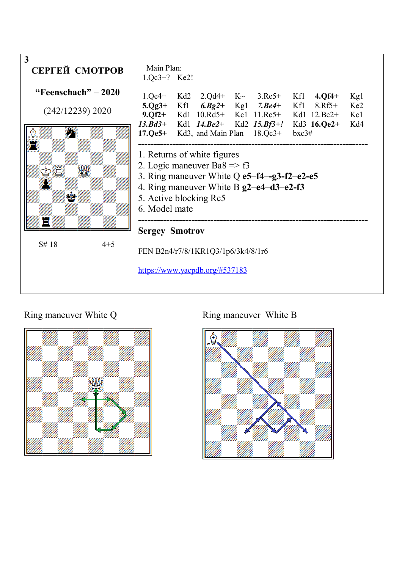

## Ring maneuver White Q Ring maneuver White B



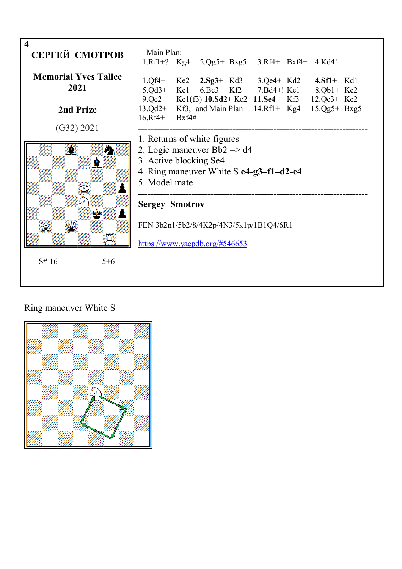

## Ring maneuver White S

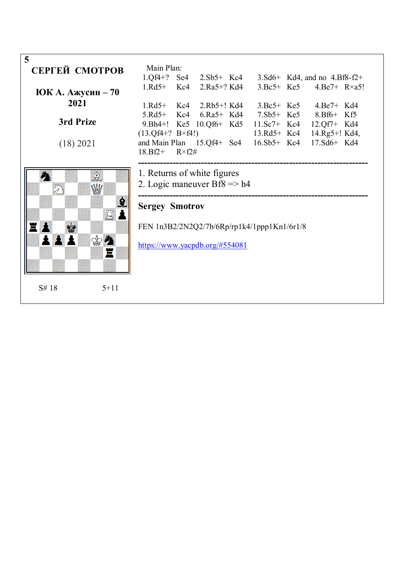| 5                 |          |                                               |  |  |  |  |  |                                                     |  |
|-------------------|----------|-----------------------------------------------|--|--|--|--|--|-----------------------------------------------------|--|
| СЕРГЕЙ СМОТРОВ    |          | Main Plan:                                    |  |  |  |  |  |                                                     |  |
|                   |          |                                               |  |  |  |  |  | 1.Qf4+? Se4 2.Sb5+ Kc4 3.Sd6+ Kd4, and no 4.Bf8-f2+ |  |
|                   |          |                                               |  |  |  |  |  | 1.Rd5+ Kc4 2.Ra5+? Kd4 3.Bc5+ Ke5 4.Be7+ R×a5!      |  |
| ЮК А. Ажусин – 70 |          |                                               |  |  |  |  |  |                                                     |  |
| 2021              |          |                                               |  |  |  |  |  | 1.Rd5+ Kc4 2.Rb5+! Kd4 3.Bc5+ Ke5 4.Be7+ Kd4        |  |
|                   |          |                                               |  |  |  |  |  | 5.Rd5+ Kc4 6.Ra5+ Kd4 7.Sb5+ Ke5 8.Bf6+ Kf5         |  |
| 3rd Prize         |          |                                               |  |  |  |  |  | 9. Bh4+! Ke5 10. Qf6+ Kd5 11. Sc7+ Kc4 12. Qf7+ Kd4 |  |
|                   |          | $(13.0f4+? B\times f4!)$                      |  |  |  |  |  | 13.Rd5+ Kc4 14.Rg5+! Kd4,                           |  |
| (18) 2021         |          |                                               |  |  |  |  |  | and Main Plan 15.Qf4+ Se4 16.Sb5+ Kc4 17.Sd6+ Kd4   |  |
|                   |          | $18.Bf2+ R\times f2\#$                        |  |  |  |  |  |                                                     |  |
|                   |          |                                               |  |  |  |  |  |                                                     |  |
|                   |          | 1. Returns of white figures                   |  |  |  |  |  |                                                     |  |
|                   |          | 2. Logic maneuver $Bf8 \Rightarrow h4$        |  |  |  |  |  |                                                     |  |
|                   |          |                                               |  |  |  |  |  |                                                     |  |
|                   |          | <b>Sergey Smotrov</b>                         |  |  |  |  |  |                                                     |  |
|                   |          |                                               |  |  |  |  |  |                                                     |  |
|                   |          | FEN $1n3B2/2N2Q2/7b/6Rp/rplk4/1ppp1Kn1/6r1/8$ |  |  |  |  |  |                                                     |  |
|                   |          |                                               |  |  |  |  |  |                                                     |  |
| <b>XAW</b> S?     |          | https://www.yacpdb.org/#554081                |  |  |  |  |  |                                                     |  |
|                   |          |                                               |  |  |  |  |  |                                                     |  |
|                   |          |                                               |  |  |  |  |  |                                                     |  |
|                   |          |                                               |  |  |  |  |  |                                                     |  |
|                   |          |                                               |  |  |  |  |  |                                                     |  |
| S#18              | $5 + 11$ |                                               |  |  |  |  |  |                                                     |  |
|                   |          |                                               |  |  |  |  |  |                                                     |  |